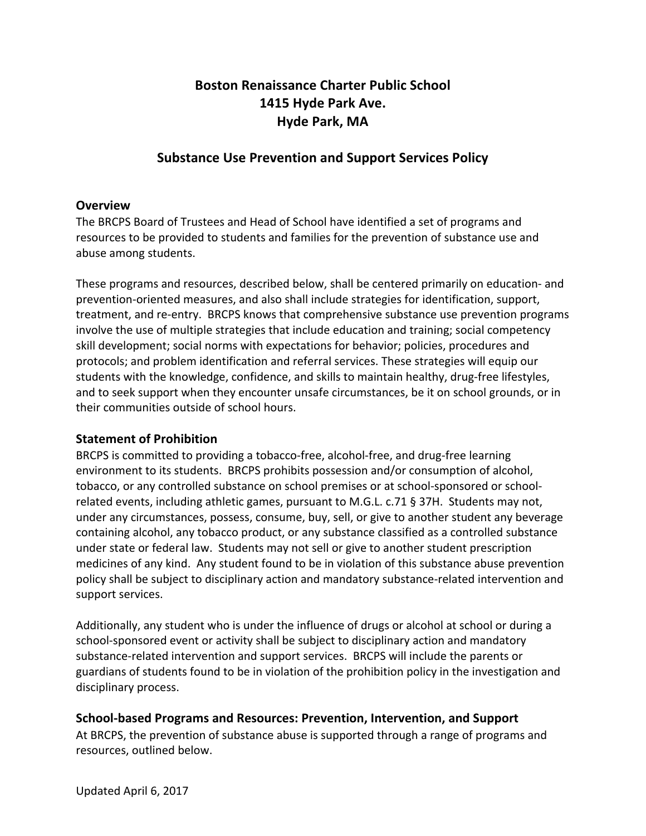# **Boston Renaissance Charter Public School** 1415 Hyde Park Ave. **Hyde Park, MA**

# **Substance Use Prevention and Support Services Policy**

# **Overview**

The BRCPS Board of Trustees and Head of School have identified a set of programs and resources to be provided to students and families for the prevention of substance use and abuse among students.

These programs and resources, described below, shall be centered primarily on education- and prevention-oriented measures, and also shall include strategies for identification, support, treatment, and re-entry. BRCPS knows that comprehensive substance use prevention programs involve the use of multiple strategies that include education and training; social competency skill development; social norms with expectations for behavior; policies, procedures and protocols; and problem identification and referral services. These strategies will equip our students with the knowledge, confidence, and skills to maintain healthy, drug-free lifestyles, and to seek support when they encounter unsafe circumstances, be it on school grounds, or in their communities outside of school hours.

#### **Statement of Prohibition**

BRCPS is committed to providing a tobacco-free, alcohol-free, and drug-free learning environment to its students. BRCPS prohibits possession and/or consumption of alcohol, tobacco, or any controlled substance on school premises or at school-sponsored or schoolrelated events, including athletic games, pursuant to M.G.L. c.71 § 37H. Students may not, under any circumstances, possess, consume, buy, sell, or give to another student any beverage containing alcohol, any tobacco product, or any substance classified as a controlled substance under state or federal law. Students may not sell or give to another student prescription medicines of any kind. Any student found to be in violation of this substance abuse prevention policy shall be subject to disciplinary action and mandatory substance-related intervention and support services.

Additionally, any student who is under the influence of drugs or alcohol at school or during a school-sponsored event or activity shall be subject to disciplinary action and mandatory substance-related intervention and support services. BRCPS will include the parents or guardians of students found to be in violation of the prohibition policy in the investigation and disciplinary process.

# **School-based Programs and Resources: Prevention, Intervention, and Support**

At BRCPS, the prevention of substance abuse is supported through a range of programs and resources, outlined below.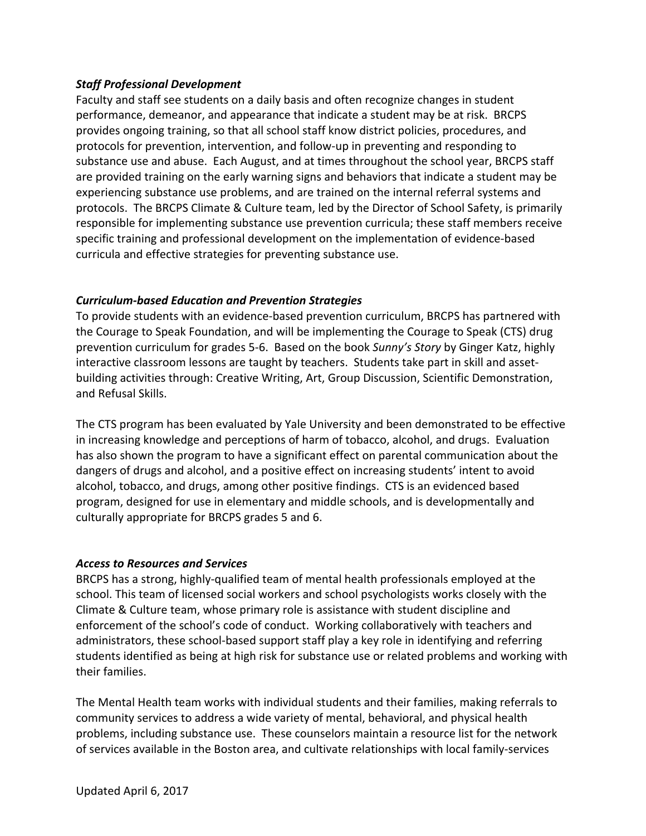### **Staff Professional Development**

Faculty and staff see students on a daily basis and often recognize changes in student performance, demeanor, and appearance that indicate a student may be at risk. BRCPS provides ongoing training, so that all school staff know district policies, procedures, and protocols for prevention, intervention, and follow-up in preventing and responding to substance use and abuse. Each August, and at times throughout the school year, BRCPS staff are provided training on the early warning signs and behaviors that indicate a student may be experiencing substance use problems, and are trained on the internal referral systems and protocols. The BRCPS Climate & Culture team, led by the Director of School Safety, is primarily responsible for implementing substance use prevention curricula; these staff members receive specific training and professional development on the implementation of evidence-based curricula and effective strategies for preventing substance use.

### *Curriculum-based Education and Prevention Strategies*

To provide students with an evidence-based prevention curriculum, BRCPS has partnered with the Courage to Speak Foundation, and will be implementing the Courage to Speak (CTS) drug prevention curriculum for grades 5-6. Based on the book *Sunny's Story* by Ginger Katz, highly interactive classroom lessons are taught by teachers. Students take part in skill and assetbuilding activities through: Creative Writing, Art, Group Discussion, Scientific Demonstration, and Refusal Skills. 

The CTS program has been evaluated by Yale University and been demonstrated to be effective in increasing knowledge and perceptions of harm of tobacco, alcohol, and drugs. Evaluation has also shown the program to have a significant effect on parental communication about the dangers of drugs and alcohol, and a positive effect on increasing students' intent to avoid alcohol, tobacco, and drugs, among other positive findings. CTS is an evidenced based program, designed for use in elementary and middle schools, and is developmentally and culturally appropriate for BRCPS grades 5 and 6.

#### *Access to Resources and Services*

BRCPS has a strong, highly-qualified team of mental health professionals employed at the school. This team of licensed social workers and school psychologists works closely with the Climate & Culture team, whose primary role is assistance with student discipline and enforcement of the school's code of conduct. Working collaboratively with teachers and administrators, these school-based support staff play a key role in identifying and referring students identified as being at high risk for substance use or related problems and working with their families.

The Mental Health team works with individual students and their families, making referrals to community services to address a wide variety of mental, behavioral, and physical health problems, including substance use. These counselors maintain a resource list for the network of services available in the Boston area, and cultivate relationships with local family-services